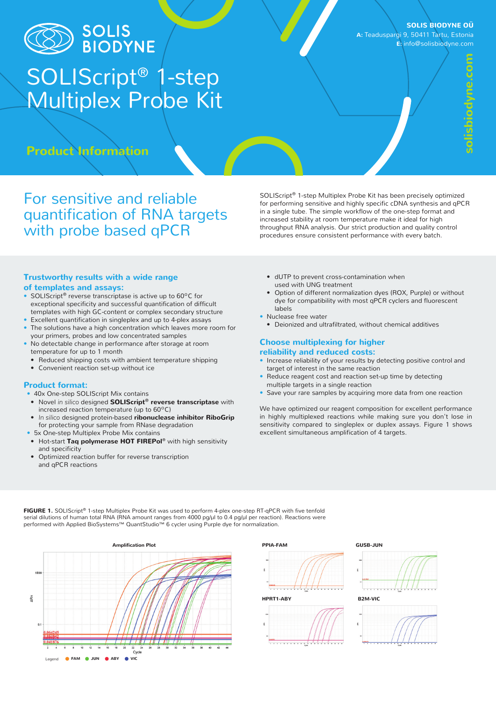

# SOLIS<br>BIODYNE

## SOLIScript® 1-step Multiplex Probe Kit

**SOLIS BIODYNE OÜ**

**A:** Teaduspargi 9, 50411 Tartu, Estonia **E:** info@solisbiodyne.com

**Product Information**

For sensitive and reliable quantification of RNA targets with probe based qPCR

SOLIScript® 1-step Multiplex Probe Kit has been precisely optimized for performing sensitive and highly specific cDNA synthesis and qPCR in a single tube. The simple workflow of the one-step format and increased stability at room temperature make it ideal for high throughput RNA analysis. Our strict production and quality control procedures ensure consistent performance with every batch.

## **Trustworthy results with a wide range of templates and assays:**

- **•** SOLIScript® reverse transcriptase is active up to 60ºC for exceptional specificity and successful quantification of difficult templates with high GC-content or complex secondary structure
- **•** Excellent quantification in singleplex and up to 4-plex assays **•** The solutions have a high concentration which leaves more room for
- your primers, probes and low concentrated samples **•** No detectable change in performance after storage at room
- temperature for up to 1 month **•** Reduced shipping costs with ambient temperature shipping
- **•** Convenient reaction set-up without ice

## **Product format:**

- **•** 40x One-step SOLIScript Mix contains
- **•** Novel *in silico* designed **SOLIScript® reverse transcriptase** with increased reaction temperature (up to 60ºC)
- **•** *In silico* designed protein-based **ribonuclease inhibitor RiboGrip** for protecting your sample from RNase degradation
- **•** 5x One-step Multiplex Probe Mix contains
- **•** Hot-start **Taq polymerase HOT FIREPol®** with high sensitivity and specificity
- **•** Optimized reaction buffer for reverse transcription and qPCR reactions
- **•** dUTP to prevent cross-contamination when used with UNG treatment
- **•** Option of different normalization dyes (ROX, Purple) or without dye for compatibility with most qPCR cyclers and fluorescent labels
- **•** Nuclease free water
	- **•** Deionized and ultrafiltrated, without chemical additives

## **Choose multiplexing for higher reliability and reduced costs:**

- **•** Increase reliability of your results by detecting positive control and target of interest in the same reaction
- **•** Reduce reagent cost and reaction set-up time by detecting multiple targets in a single reaction
- **•** Save your rare samples by acquiring more data from one reaction

We have optimized our reagent composition for excellent performance in highly multiplexed reactions while making sure you don't lose in sensitivity compared to singleplex or duplex assays. Figure 1 shows excellent simultaneous amplification of 4 targets.

**FIGURE 1.** SOLIScript® 1-step Multiplex Probe Kit was used to perform 4-plex one-step RT-qPCR with five tenfold serial dilutions of human total RNA (RNA amount ranges from 4000 pg/µl to 0.4 pg/µl per reaction). Reactions were performed with Applied BioSystems™ QuantStudio™ 6 cycler using Purple dye for normalization.







## **GUSB-JUN**